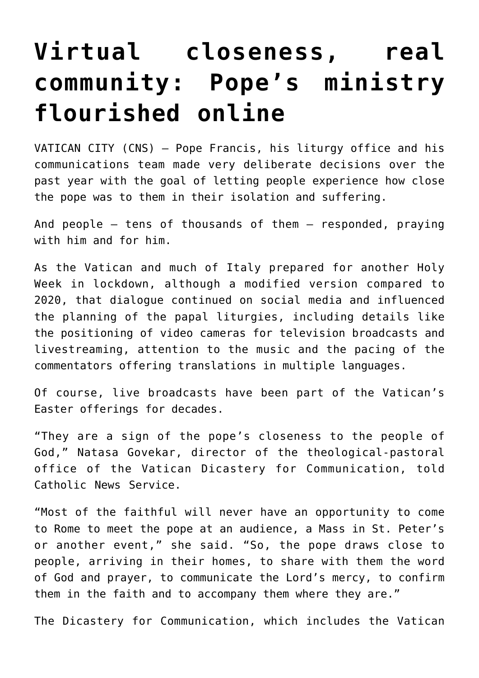## **[Virtual closeness, real](https://www.osvnews.com/2021/03/26/virtual-closeness-real-community-popes-ministry-flourished-online/) [community: Pope's ministry](https://www.osvnews.com/2021/03/26/virtual-closeness-real-community-popes-ministry-flourished-online/) [flourished online](https://www.osvnews.com/2021/03/26/virtual-closeness-real-community-popes-ministry-flourished-online/)**

VATICAN CITY (CNS) — Pope Francis, his liturgy office and his communications team made very deliberate decisions over the past year with the goal of letting people experience how close the pope was to them in their isolation and suffering.

And people — tens of thousands of them — responded, praying with him and for him.

As the Vatican and much of Italy prepared for another Holy Week in lockdown, although a modified version compared to 2020, that dialogue continued on social media and influenced the planning of the papal liturgies, including details like the positioning of video cameras for television broadcasts and livestreaming, attention to the music and the pacing of the commentators offering translations in multiple languages.

Of course, live broadcasts have been part of the Vatican's Easter offerings for decades.

"They are a sign of the pope's closeness to the people of God," Natasa Govekar, director of the theological-pastoral office of the Vatican Dicastery for Communication, told Catholic News Service.

"Most of the faithful will never have an opportunity to come to Rome to meet the pope at an audience, a Mass in St. Peter's or another event," she said. "So, the pope draws close to people, arriving in their homes, to share with them the word of God and prayer, to communicate the Lord's mercy, to confirm them in the faith and to accompany them where they are."

The Dicastery for Communication, which includes the Vatican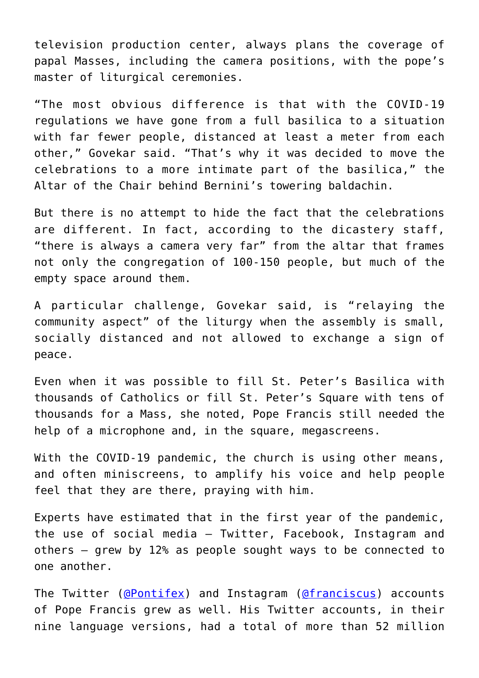television production center, always plans the coverage of papal Masses, including the camera positions, with the pope's master of liturgical ceremonies.

"The most obvious difference is that with the COVID-19 regulations we have gone from a full basilica to a situation with far fewer people, distanced at least a meter from each other," Govekar said. "That's why it was decided to move the celebrations to a more intimate part of the basilica," the Altar of the Chair behind Bernini's towering baldachin.

But there is no attempt to hide the fact that the celebrations are different. In fact, according to the dicastery staff, "there is always a camera very far" from the altar that frames not only the congregation of 100-150 people, but much of the empty space around them.

A particular challenge, Govekar said, is "relaying the community aspect" of the liturgy when the assembly is small, socially distanced and not allowed to exchange a sign of peace.

Even when it was possible to fill St. Peter's Basilica with thousands of Catholics or fill St. Peter's Square with tens of thousands for a Mass, she noted, Pope Francis still needed the help of a microphone and, in the square, megascreens.

With the COVID-19 pandemic, the church is using other means, and often miniscreens, to amplify his voice and help people feel that they are there, praying with him.

Experts have estimated that in the first year of the pandemic, the use of social media — Twitter, Facebook, Instagram and others — grew by 12% as people sought ways to be connected to one another.

The Twitter ([@Pontifex](https://twitter.com/Pontifex)) and Instagram ([@franciscus\)](https://www.instagram.com/franciscus) accounts of Pope Francis grew as well. His Twitter accounts, in their nine language versions, had a total of more than 52 million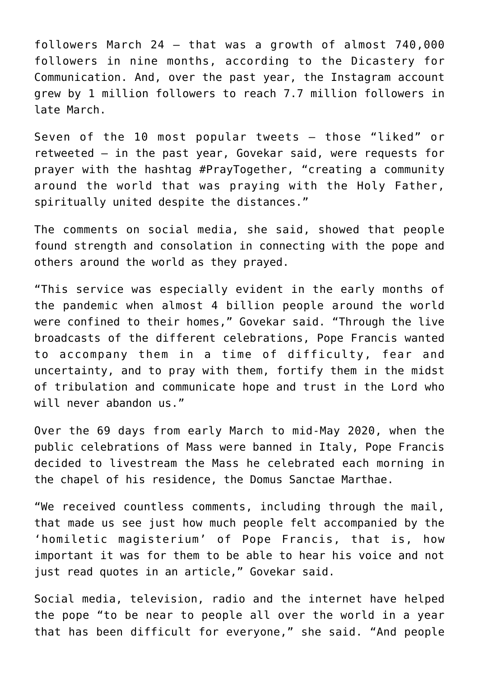followers March 24 — that was a growth of almost 740,000 followers in nine months, according to the Dicastery for Communication. And, over the past year, the Instagram account grew by 1 million followers to reach 7.7 million followers in late March.

Seven of the 10 most popular tweets — those "liked" or retweeted — in the past year, Govekar said, were requests for prayer with the hashtag #PrayTogether, "creating a community around the world that was praying with the Holy Father, spiritually united despite the distances."

The comments on social media, she said, showed that people found strength and consolation in connecting with the pope and others around the world as they prayed.

"This service was especially evident in the early months of the pandemic when almost 4 billion people around the world were confined to their homes," Govekar said. "Through the live broadcasts of the different celebrations, Pope Francis wanted to accompany them in a time of difficulty, fear and uncertainty, and to pray with them, fortify them in the midst of tribulation and communicate hope and trust in the Lord who will never abandon us."

Over the 69 days from early March to mid-May 2020, when the public celebrations of Mass were banned in Italy, Pope Francis decided to livestream the Mass he celebrated each morning in the chapel of his residence, the Domus Sanctae Marthae.

"We received countless comments, including through the mail, that made us see just how much people felt accompanied by the 'homiletic magisterium' of Pope Francis, that is, how important it was for them to be able to hear his voice and not just read quotes in an article," Govekar said.

Social media, television, radio and the internet have helped the pope "to be near to people all over the world in a year that has been difficult for everyone," she said. "And people